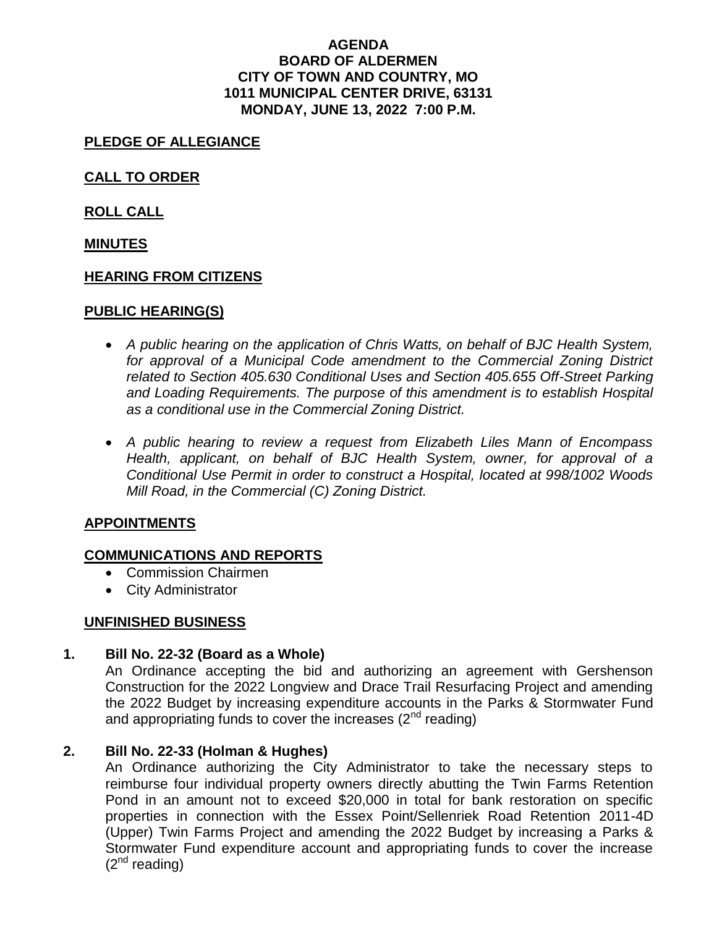### **AGENDA BOARD OF ALDERMEN CITY OF TOWN AND COUNTRY, MO 1011 MUNICIPAL CENTER DRIVE, 63131 MONDAY, JUNE 13, 2022 7:00 P.M.**

# **PLEDGE OF ALLEGIANCE**

**CALL TO ORDER** 

**ROLL CALL** 

### **MINUTES**

### **HEARING FROM CITIZENS**

### **PUBLIC HEARING(S)**

- *A public hearing on the application of Chris Watts, on behalf of BJC Health System,*  for approval of a Municipal Code amendment to the Commercial Zoning District *related to Section 405.630 Conditional Uses and Section 405.655 Off-Street Parking and Loading Requirements. The purpose of this amendment is to establish Hospital as a conditional use in the Commercial Zoning District.*
- *A public hearing to review a request from Elizabeth Liles Mann of Encompass Health, applicant, on behalf of BJC Health System, owner, for approval of a Conditional Use Permit in order to construct a Hospital, located at 998/1002 Woods Mill Road, in the Commercial (C) Zoning District.*

## **APPOINTMENTS**

## **COMMUNICATIONS AND REPORTS**

- Commission Chairmen
- City Administrator

## **UNFINISHED BUSINESS**

## **1. Bill No. 22-32 (Board as a Whole)**

An Ordinance accepting the bid and authorizing an agreement with Gershenson Construction for the 2022 Longview and Drace Trail Resurfacing Project and amending the 2022 Budget by increasing expenditure accounts in the Parks & Stormwater Fund and appropriating funds to cover the increases  $(2^{nd}$  reading)

## **2. Bill No. 22-33 (Holman & Hughes)**

An Ordinance authorizing the City Administrator to take the necessary steps to reimburse four individual property owners directly abutting the Twin Farms Retention Pond in an amount not to exceed \$20,000 in total for bank restoration on specific properties in connection with the Essex Point/Sellenriek Road Retention 2011-4D (Upper) Twin Farms Project and amending the 2022 Budget by increasing a Parks & Stormwater Fund expenditure account and appropriating funds to cover the increase  $(2^{nd}$  reading)